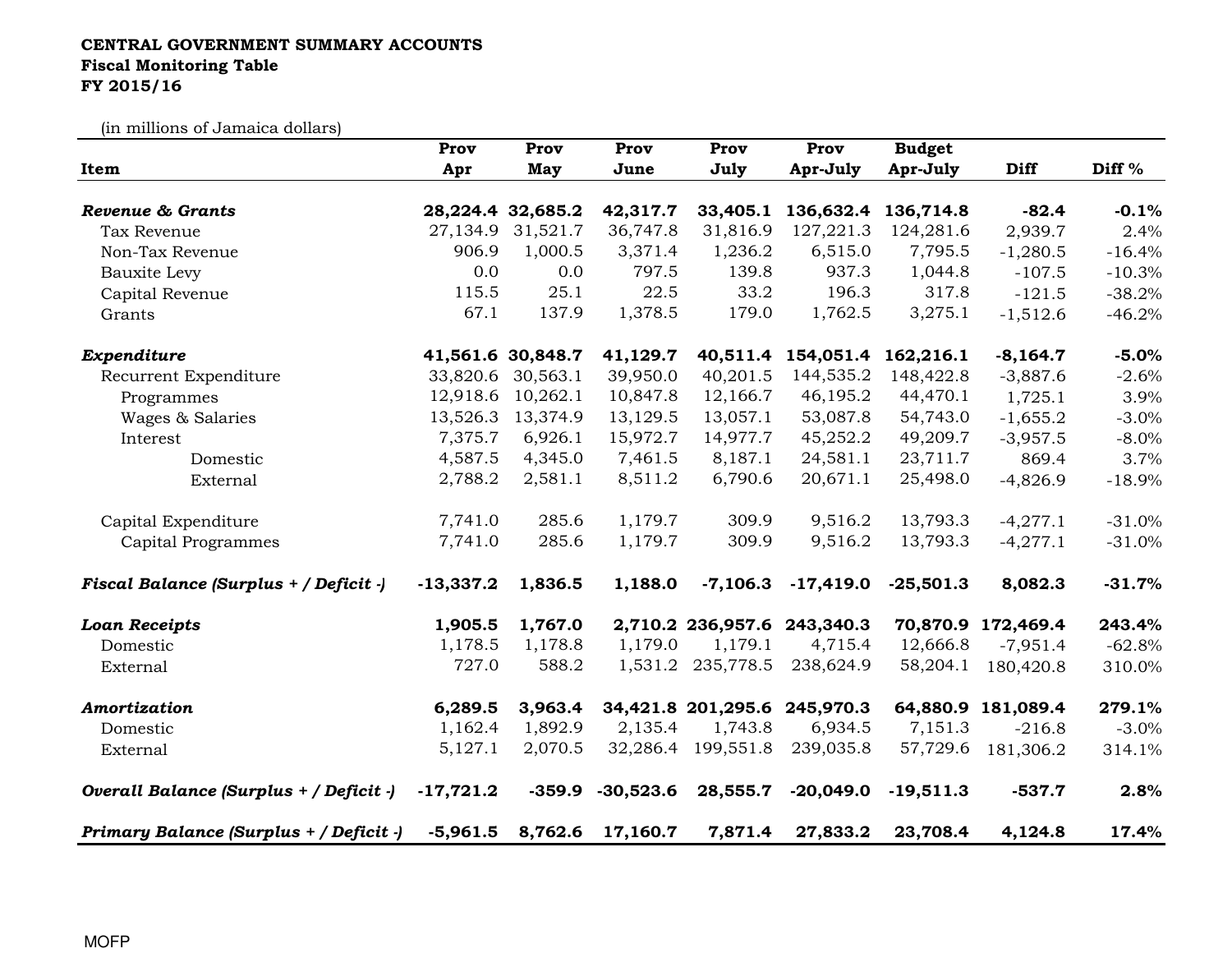## CENTRAL GOVERNMENT SUMMARY ACCOUNTS Fiscal Monitoring TableFY 2015/16

(in millions of Jamaica dollars)

|                                         | Prov        | Prov              | Prov        | Prov               | Prov        | <b>Budget</b> |                    |                   |
|-----------------------------------------|-------------|-------------------|-------------|--------------------|-------------|---------------|--------------------|-------------------|
| Item                                    | Apr         | May               | June        | July               | Apr-July    | Apr-July      | <b>Diff</b>        | Diff <sup>%</sup> |
|                                         |             |                   |             |                    |             |               |                    |                   |
| Revenue & Grants                        |             | 28,224.4 32,685.2 | 42,317.7    | 33,405.1           | 136,632.4   | 136,714.8     | $-82.4$            | $-0.1%$           |
| Tax Revenue                             | 27,134.9    | 31,521.7          | 36,747.8    | 31,816.9           | 127,221.3   | 124,281.6     | 2,939.7            | 2.4%              |
| Non-Tax Revenue                         | 906.9       | 1,000.5           | 3,371.4     | 1,236.2            | 6,515.0     | 7,795.5       | $-1,280.5$         | $-16.4%$          |
| <b>Bauxite Levy</b>                     | 0.0         | 0.0               | 797.5       | 139.8              | 937.3       | 1,044.8       | $-107.5$           | $-10.3%$          |
| Capital Revenue                         | 115.5       | 25.1              | 22.5        | 33.2               | 196.3       | 317.8         | $-121.5$           | $-38.2%$          |
| Grants                                  | 67.1        | 137.9             | 1,378.5     | 179.0              | 1,762.5     | 3,275.1       | $-1,512.6$         | $-46.2%$          |
| Expenditure                             |             | 41,561.6 30,848.7 | 41,129.7    | 40,511.4           | 154,051.4   | 162,216.1     | $-8,164.7$         | $-5.0%$           |
| Recurrent Expenditure                   | 33,820.6    | 30,563.1          | 39,950.0    | 40,201.5           | 144,535.2   | 148,422.8     | $-3,887.6$         | $-2.6%$           |
| Programmes                              | 12,918.6    | 10,262.1          | 10,847.8    | 12,166.7           | 46,195.2    | 44,470.1      | 1,725.1            | 3.9%              |
| Wages & Salaries                        | 13,526.3    | 13,374.9          | 13,129.5    | 13,057.1           | 53,087.8    | 54,743.0      | $-1,655.2$         | $-3.0%$           |
| Interest                                | 7,375.7     | 6,926.1           | 15,972.7    | 14,977.7           | 45,252.2    | 49,209.7      | $-3,957.5$         | $-8.0\%$          |
| Domestic                                | 4,587.5     | 4,345.0           | 7,461.5     | 8,187.1            | 24,581.1    | 23,711.7      | 869.4              | 3.7%              |
| External                                | 2,788.2     | 2,581.1           | 8,511.2     | 6,790.6            | 20,671.1    | 25,498.0      | $-4,826.9$         | $-18.9%$          |
| Capital Expenditure                     | 7,741.0     | 285.6             | 1,179.7     | 309.9              | 9,516.2     | 13,793.3      | $-4,277.1$         | $-31.0%$          |
| Capital Programmes                      | 7,741.0     | 285.6             | 1,179.7     | 309.9              | 9,516.2     | 13,793.3      | $-4,277.1$         | $-31.0%$          |
| Fiscal Balance (Surplus + / Deficit -)  | $-13,337.2$ | 1,836.5           | 1,188.0     | $-7,106.3$         | $-17,419.0$ | $-25,501.3$   | 8,082.3            | $-31.7%$          |
| <b>Loan Receipts</b>                    | 1,905.5     | 1,767.0           |             | 2,710.2 236,957.6  | 243,340.3   |               | 70,870.9 172,469.4 | 243.4%            |
| Domestic                                | 1,178.5     | 1,178.8           | 1,179.0     | 1,179.1            | 4,715.4     | 12,666.8      | $-7,951.4$         | $-62.8%$          |
| External                                | 727.0       | 588.2             | 1,531.2     | 235,778.5          | 238,624.9   | 58,204.1      | 180,420.8          | 310.0%            |
| Amortization                            | 6,289.5     | 3,963.4           |             | 34,421.8 201,295.6 | 245,970.3   |               | 64,880.9 181,089.4 | 279.1%            |
| Domestic                                | 1,162.4     | 1,892.9           | 2,135.4     | 1,743.8            | 6,934.5     | 7,151.3       | $-216.8$           | $-3.0%$           |
| External                                | 5,127.1     | 2,070.5           | 32,286.4    | 199,551.8          | 239,035.8   | 57,729.6      | 181,306.2          | 314.1%            |
| Overall Balance (Surplus + / Deficit -) | $-17,721.2$ | $-359.9$          | $-30,523.6$ | 28,555.7           | $-20,049.0$ | $-19,511.3$   | $-537.7$           | 2.8%              |
| Primary Balance (Surplus + / Deficit -) | $-5,961.5$  | 8,762.6           | 17,160.7    | 7,871.4            | 27,833.2    | 23,708.4      | 4,124.8            | 17.4%             |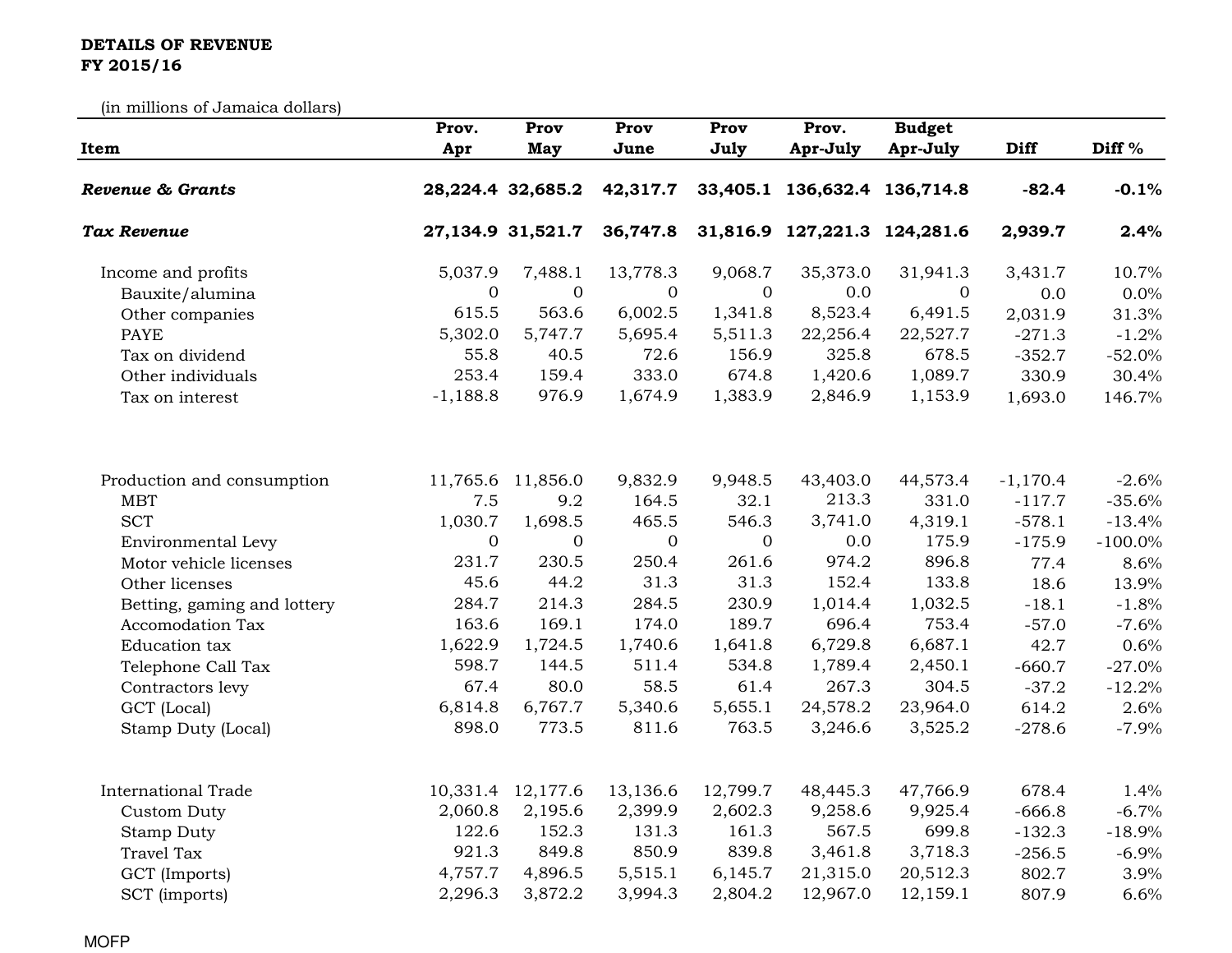## DETAILS OF REVENUE FY 2015/16

(in millions of Jamaica dollars)

| un minions of Jamaica donars)<br>Item | Prov.<br>Apr | Prov<br>May       | Prov<br>June   | Prov<br>July   | Prov.<br>Apr-July            | <b>Budget</b><br>Apr-July | Diff       | Diff <sup>%</sup> |
|---------------------------------------|--------------|-------------------|----------------|----------------|------------------------------|---------------------------|------------|-------------------|
| <b>Revenue &amp; Grants</b>           |              | 28,224.4 32,685.2 | 42,317.7       |                | 33,405.1 136,632.4 136,714.8 |                           | $-82.4$    | $-0.1%$           |
| <b>Tax Revenue</b>                    |              | 27,134.9 31,521.7 | 36,747.8       |                | 31,816.9 127,221.3 124,281.6 |                           | 2,939.7    | 2.4%              |
| Income and profits                    | 5,037.9      | 7,488.1           | 13,778.3       | 9,068.7        | 35,373.0                     | 31,941.3                  | 3,431.7    | 10.7%             |
| Bauxite/alumina                       | $\mathbf{0}$ | $\mathbf{0}$      | $\overline{0}$ | $\mathbf{0}$   | 0.0                          | $\overline{0}$            | 0.0        | 0.0%              |
| Other companies                       | 615.5        | 563.6             | 6,002.5        | 1,341.8        | 8,523.4                      | 6,491.5                   | 2,031.9    | 31.3%             |
| <b>PAYE</b>                           | 5,302.0      | 5,747.7           | 5,695.4        | 5,511.3        | 22,256.4                     | 22,527.7                  | $-271.3$   | $-1.2%$           |
| Tax on dividend                       | 55.8         | 40.5              | 72.6           | 156.9          | 325.8                        | 678.5                     | $-352.7$   | $-52.0%$          |
| Other individuals                     | 253.4        | 159.4             | 333.0          | 674.8          | 1,420.6                      | 1,089.7                   | 330.9      | 30.4%             |
| Tax on interest                       | $-1,188.8$   | 976.9             | 1,674.9        | 1,383.9        | 2,846.9                      | 1,153.9                   | 1,693.0    | 146.7%            |
| Production and consumption            | 11,765.6     | 11,856.0          | 9,832.9        | 9,948.5        | 43,403.0                     | 44,573.4                  | $-1,170.4$ | $-2.6%$           |
| <b>MBT</b>                            | 7.5          | 9.2               | 164.5          | 32.1           | 213.3                        | 331.0                     | $-117.7$   | $-35.6%$          |
| <b>SCT</b>                            | 1,030.7      | 1,698.5           | 465.5          | 546.3          | 3,741.0                      | 4,319.1                   | $-578.1$   | $-13.4%$          |
| Environmental Levy                    | $\mathbf{0}$ | $\boldsymbol{0}$  | $\overline{0}$ | $\overline{0}$ | 0.0                          | 175.9                     | $-175.9$   | $-100.0\%$        |
| Motor vehicle licenses                | 231.7        | 230.5             | 250.4          | 261.6          | 974.2                        | 896.8                     | 77.4       | 8.6%              |
| Other licenses                        | 45.6         | 44.2              | 31.3           | 31.3           | 152.4                        | 133.8                     | 18.6       | 13.9%             |
| Betting, gaming and lottery           | 284.7        | 214.3             | 284.5          | 230.9          | 1,014.4                      | 1,032.5                   | $-18.1$    | $-1.8%$           |
| <b>Accomodation Tax</b>               | 163.6        | 169.1             | 174.0          | 189.7          | 696.4                        | 753.4                     | $-57.0$    | $-7.6%$           |
| Education tax                         | 1,622.9      | 1,724.5           | 1,740.6        | 1,641.8        | 6,729.8                      | 6,687.1                   | 42.7       | 0.6%              |
| Telephone Call Tax                    | 598.7        | 144.5             | 511.4          | 534.8          | 1,789.4                      | 2,450.1                   | $-660.7$   | $-27.0%$          |
| Contractors levy                      | 67.4         | 80.0              | 58.5           | 61.4           | 267.3                        | 304.5                     | $-37.2$    | $-12.2%$          |
| GCT (Local)                           | 6,814.8      | 6,767.7           | 5,340.6        | 5,655.1        | 24,578.2                     | 23,964.0                  | 614.2      | 2.6%              |
| Stamp Duty (Local)                    | 898.0        | 773.5             | 811.6          | 763.5          | 3,246.6                      | 3,525.2                   | $-278.6$   | $-7.9%$           |
| <b>International Trade</b>            | 10,331.4     | 12,177.6          | 13,136.6       | 12,799.7       | 48,445.3                     | 47,766.9                  | 678.4      | 1.4%              |
| Custom Duty                           | 2,060.8      | 2,195.6           | 2,399.9        | 2,602.3        | 9,258.6                      | 9,925.4                   | $-666.8$   | $-6.7%$           |
| <b>Stamp Duty</b>                     | 122.6        | 152.3             | 131.3          | 161.3          | 567.5                        | 699.8                     | $-132.3$   | $-18.9%$          |
| <b>Travel Tax</b>                     | 921.3        | 849.8             | 850.9          | 839.8          | 3,461.8                      | 3,718.3                   | $-256.5$   | $-6.9%$           |
| GCT (Imports)                         | 4,757.7      | 4,896.5           | 5,515.1        | 6,145.7        | 21,315.0                     | 20,512.3                  | 802.7      | 3.9%              |
| SCT (imports)                         | 2,296.3      | 3,872.2           | 3,994.3        | 2,804.2        | 12,967.0                     | 12,159.1                  | 807.9      | 6.6%              |